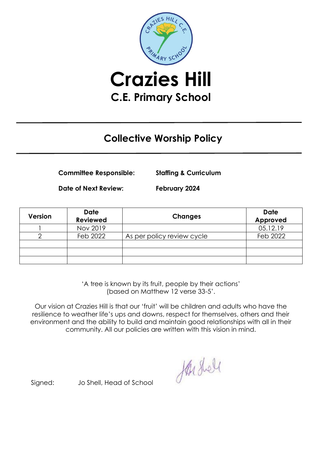

**C.E. Primary School**

## **Collective Worship Policy**

**Committee Responsible: Staffing & Curriculum**

**Date of Next Review: February 2024**

| Version | <b>Date</b><br><b>Reviewed</b> | <b>Changes</b>             | <b>Date</b><br>Approved |
|---------|--------------------------------|----------------------------|-------------------------|
|         | Nov 2019                       |                            | 05.12.19                |
|         | Feb 2022                       | As per policy review cycle | Feb 2022                |
|         |                                |                            |                         |
|         |                                |                            |                         |
|         |                                |                            |                         |

'A tree is known by its fruit, people by their actions' (based on Matthew 12 verse 33-5'.

Our vision at Crazies Hill is that our 'fruit' will be children and adults who have the resilience to weather life's ups and downs, respect for themselves, others and their environment and the ability to build and maintain good relationships with all in their community. All our policies are written with this vision in mind.

Harshell

Signed: Jo Shell, Head of School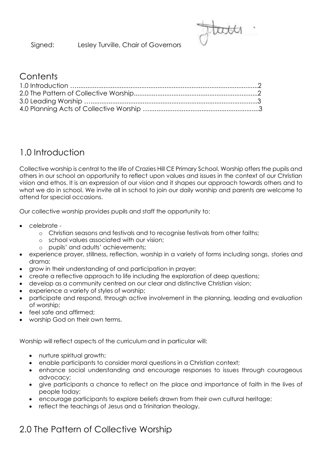Signed: Lesley Turville, Chair of Governors

#### **Contents**

### 1.0 Introduction

Collective worship is central to the life of Crazies Hill CE Primary School. Worship offers the pupils and others in our school an opportunity to reflect upon values and issues in the context of our Christian vision and ethos. It is an expression of our vision and it shapes our approach towards others and to what we do in school. We invite all in school to join our daily worship and parents are welcome to attend for special occasions.

Our collective worship provides pupils and staff the opportunity to:

- celebrate
	- o Christian seasons and festivals and to recognise festivals from other faiths;
	- o school values associated with our vision;
	- o pupils' and adults' achievements;
- experience prayer, stillness, reflection, worship in a variety of forms including songs, stories and drama;
- grow in their understanding of and participation in prayer;
- create a reflective approach to life including the exploration of deep questions;
- develop as a community centred on our clear and distinctive Christian vision;
- experience a variety of styles of worship;
- participate and respond, through active involvement in the planning, leading and evaluation of worship;
- feel safe and affirmed:
- worship God on their own terms.

Worship will reflect aspects of the curriculum and in particular will:

- nurture spiritual growth;
- enable participants to consider moral questions in a Christian context;
- enhance social understanding and encourage responses to issues through courageous advocacy;
- give participants a chance to reflect on the place and importance of faith in the lives of people today;
- encourage participants to explore beliefs drawn from their own cultural heritage;
- reflect the teachings of Jesus and a Trinitarian theology.

# 2.0 The Pattern of Collective Worship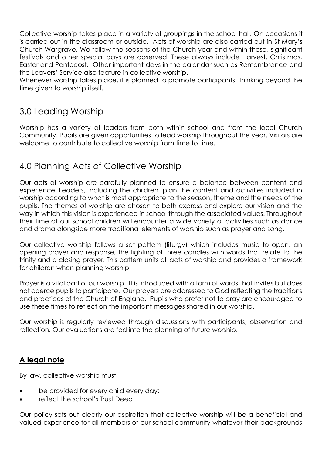Collective worship takes place in a variety of groupings in the school hall. On occasions it is carried out in the classroom or outside. Acts of worship are also carried out in St Mary's Church Wargrave. We follow the seasons of the Church year and within these, significant festivals and other special days are observed. These always include Harvest, Christmas, Easter and Pentecost. Other important days in the calendar such as Remembrance and the Leavers' Service also feature in collective worship.

Whenever worship takes place, it is planned to promote participants' thinking beyond the time given to worship itself.

### 3.0 Leading Worship

Worship has a variety of leaders from both within school and from the local Church Community. Pupils are given opportunities to lead worship throughout the year. Visitors are welcome to contribute to collective worship from time to time.

### 4.0 Planning Acts of Collective Worship

Our acts of worship are carefully planned to ensure a balance between content and experience. Leaders, including the children, plan the content and activities included in worship according to what is most appropriate to the season, theme and the needs of the pupils. The themes of worship are chosen to both express and explore our vision and the way in which this vision is experienced in school through the associated values. Throughout their time at our school children will encounter a wide variety of activities such as dance and drama alongside more traditional elements of worship such as prayer and song.

Our collective worship follows a set pattern (liturgy) which includes music to open, an opening prayer and response, the lighting of three candles with words that relate to the trinity and a closing prayer. This pattern units all acts of worship and provides a framework for children when planning worship.

Prayer is a vital part of our worship. It is introduced with a form of words that invites but does not coerce pupils to participate. Our prayers are addressed to God reflecting the traditions and practices of the Church of England. Pupils who prefer not to pray are encouraged to use these times to reflect on the important messages shared in our worship.

Our worship is regularly reviewed through discussions with participants, observation and reflection. Our evaluations are fed into the planning of future worship.

#### **A legal note**

By law, collective worship must:

- be provided for every child every day;
- reflect the school's Trust Deed.

Our policy sets out clearly our aspiration that collective worship will be a beneficial and valued experience for all members of our school community whatever their backgrounds